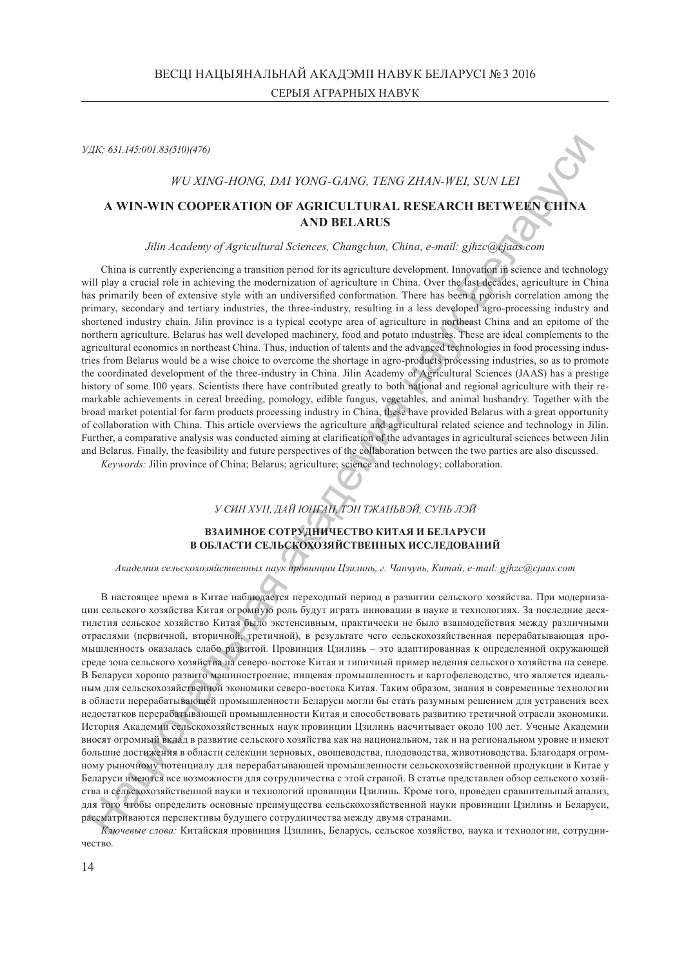*УДК: 631.145:001.83(510)(476)*

#### *WU XING-HONG, DAI YONG-GANG, TENG ZHAN-WEI, SUN LEI*

# **A WIN-WIN COOPERATION OF AGRICULTURAL RESEARCH BETWEEN CHINA AND BELARUS**

#### *Jilin Academy of Agricultural Sciences, Changchun, China, e-mail: gjhzc@cjaas.com*

China is currently experiencing a transition period for its agriculture development. Innovation in science and technology will play a crucial role in achieving the modernization of agriculture in China. Over the last decades, agriculture in China has primarily been of extensive style with an undiversified conformation. There has been a poorish correlation among the primary, secondary and tertiary industries, the three-industry, resulting in a less developed agro-processing industry and shortened industry chain. Jilin province is a typical ecotype area of agriculture in northeast China and an epitome of the northern agriculture. Belarus has well developed machinery, food and potato industries. These are ideal complements to the agricultural economics in northeast China. Thus, induction of talents and the advanced technologies in food processing industries from Belarus would be a wise choice to overcome the shortage in agro-products processing industries, so as to promote the coordinated development of the three-industry in China. Jilin Academy of Agricultural Sciences (JAAS) has a prestige history of some 100 years. Scientists there have contributed greatly to both national and regional agriculture with their remarkable achievements in cereal breeding, pomology, edible fungus, vegetables, and animal husbandry. Together with the broad market potential for farm products processing industry in China, these have provided Belarus with a great opportunity of collaboration with China. This article overviews the agriculture and agricultural related science and technology in Jilin. Further, a comparative analysis was conducted aiming at clarification of the advantages in agricultural sciences between Jilin and Belarus. Finally, the feasibility and future perspectives of the collaboration between the two parties are also discussed.

*Keywords:* Jilin province of China; Belarus; agriculture; science and technology; collaboration.

*У СИН ХУН, ДАЙ ЮНГАН, ТЭН ТЖАНЬВЭЙ, СУНЬ ЛЭЙ*

#### **ВЗАИМНОЕ СОТРУДНИЧЕСТВО КИТАЯ И БЕЛАРУСИ В ОБЛАСТИ СЕЛЬСКОХОЗЯЙСТВЕННЫХ ИССЛЕДОВАНИЙ**

*Академия сельскохозяйственных наук провинции Цзилинь, г. Чанчунь, Китай, e-mail: gjhzc@cjaas.com*

В настоящее время в Китае наблюдается переходный период в развитии сельского хозяйства. При модернизации сельского хозяйства Китая огромную роль будут играть инновации в науке и технологиях. За последние десятилетия сельское хозяйство Китая было экстенсивным, практически не было взаимодействия между различными отраслями (первичной, вторичной, третичной), в результате чего сельскохозяйственная перерабатывающая промышленность оказалась слабо развитой. Провинция Цзилинь – это адаптированная к определенной окружающей среде зона сельского хозяйства на северо-востоке Китая и типичный пример ведения сельского хозяйства на севере. В Беларуси хорошо развито машиностроение, пищевая промышленность и картофелеводство, что является идеальным для сельскохозяйственной экономики северо-востока Китая. Таким образом, знания и современные технологии в области перерабатывающей промышленности Беларуси могли бы стать разумным решением для устранения всех недостатков перерабатывающей промышленности Китая и способствовать развитию третичной отрасли экономики. История Академии сельскохозяйственных наук провинции Цзилинь насчитывает около 100 лет. Ученые Академии вносят огромный вклад в развитие сельского хозяйства как на национальном, так и на региональном уровне и имеют большие достижения в области селекции зерновых, овощеводства, плодоводства, животноводства. Благодаря огромному рыночному потенциалу для перерабатывающей промышленности сельскохозяйственной продукции в Китае у Беларуси имеются все возможности для сотрудничества с этой страной. В статье представлен обзор сельского хозяйства и сельскохозяйственной науки и технологий провинции Цзилинь. Кроме того, проведен сравнительный анализ, для того чтобы определить основные преимущества сельскохозяйственной науки провинции Цзилинь и Беларуси, рассматриваются перспективы будущего сотрудничества между двумя странами. уде: 62.1.65561.05918/6769<br>
WV XING-110NG, D.H YONG-GANG, TENG ZILAN-WEL SUN LEI<br>
A WINAWIN COOPERATION OF ACHICLITERIAL RESEARCH BETWEEN THINA<br>
AND BELARUS<br>
AND BELARUS<br>
Site Academy of Apricaliana Sciences, Cheap,<br>ban

*Ключевые слова:* Китайская провинция Цзилинь, Беларусь, сельское хозяйство, наука и технологии, сотрудни-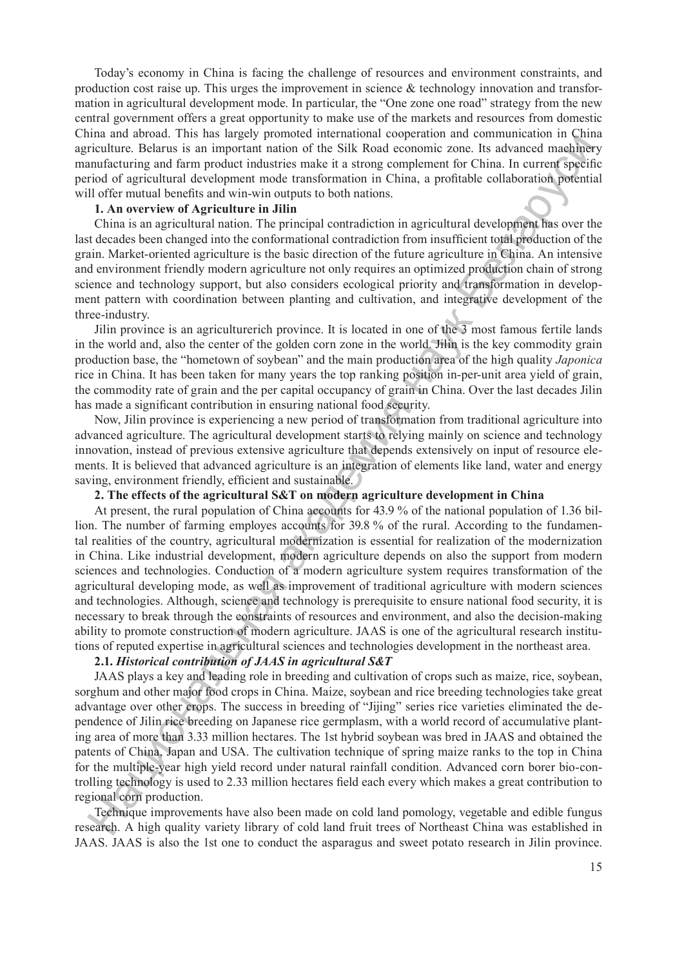Today's economy in China is facing the challenge of resources and environment constraints, and production cost raise up. This urges the improvement in science  $\&$  technology innovation and transformation in agricultural development mode. In particular, the "One zone one road" strategy from the new central government offers a great opportunity to make use of the markets and resources from domestic China and abroad. This has largely promoted international cooperation and communication in China agriculture. Belarus is an important nation of the Silk Road economic zone. Its advanced machinery manufacturing and farm product industries make it a strong complement for China. In current specific period of agricultural development mode transformation in China, a profitable collaboration potential will offer mutual benefits and win-win outputs to both nations.

## **1. An overview of Agriculture in Jilin**

China is an agricultural nation. The principal contradiction in agricultural development has over the last decades been changed into the conformational contradiction from insufficient total production of the grain. Market-oriented agriculture is the basic direction of the future agriculture in China. An intensive and environment friendly modern agriculture not only requires an optimized production chain of strong science and technology support, but also considers ecological priority and transformation in development pattern with coordination between planting and cultivation, and integrative development of the three-industry.

Jilin province is an agriculturerich province. It is located in one of the 3 most famous fertile lands in the world and, also the center of the golden corn zone in the world. Jilin is the key commodity grain production base, the "hometown of soybean" and the main production area of the high quality *Japonica* rice in China. It has been taken for many years the top ranking position in-per-unit area yield of grain, the commodity rate of grain and the per capital occupancy of grain in China. Over the last decades Jilin has made a significant contribution in ensuring national food security.

Now, Jilin province is experiencing a new period of transformation from traditional agriculture into advanced agriculture. The agricultural development starts to relying mainly on science and technology innovation, instead of previous extensive agriculture that depends extensively on input of resource elements. It is believed that advanced agriculture is an integration of elements like land, water and energy saving, environment friendly, efficient and sustainable.

# **2. The effects of the agricultural S&T on modern agriculture development in China**

At present, the rural population of China accounts for 43.9 % of the national population of 1.36 billion. The number of farming employes accounts for 39.8 % of the rural. According to the fundamental realities of the country, agricultural modernization is essential for realization of the modernization in China. Like industrial development, modern agriculture depends on also the support from modern sciences and technologies. Conduction of a modern agriculture system requires transformation of the agricultural developing mode, as well as improvement of traditional agriculture with modern sciences and technologies. Although, science and technology is prerequisite to ensure national food security, it is necessary to break through the constraints of resources and environment, and also the decision-making ability to promote construction of modern agriculture. JAAS is one of the agricultural research institutions of reputed expertise in agricultural sciences and technologies development in the northeast area. Haution Behavior and the beach interest in the Silk Road vocation and the mediatrical control of a great control of a state of the mediatric state is a state of the signal and the signal state of the signal state of the

# **2.1.** *Historical contribution of JAAS in agricultural S&T*

JAAS plays a key and leading role in breeding and cultivation of crops such as maize, rice, soybean, sorghum and other major food crops in China. Maize, soybean and rice breeding technologies take great advantage over other crops. The success in breeding of "Jijing" series rice varieties eliminated the dependence of Jilin rice breeding on Japanese rice germplasm, with a world record of accumulative planting area of more than 3.33 million hectares. The 1st hybrid soybean was bred in JAAS and obtained the patents of China, Japan and USA. The cultivation technique of spring maize ranks to the top in China for the multiple-year high yield record under natural rainfall condition. Advanced corn borer bio-controlling technology is used to 2.33 million hectares field each every which makes a great contribution to regional corn production.

Technique improvements have also been made on cold land pomology, vegetable and edible fungus research. A high quality variety library of cold land fruit trees of Northeast China was established in JAAS. JAAS is also the 1st one to conduct the asparagus and sweet potato research in Jilin province.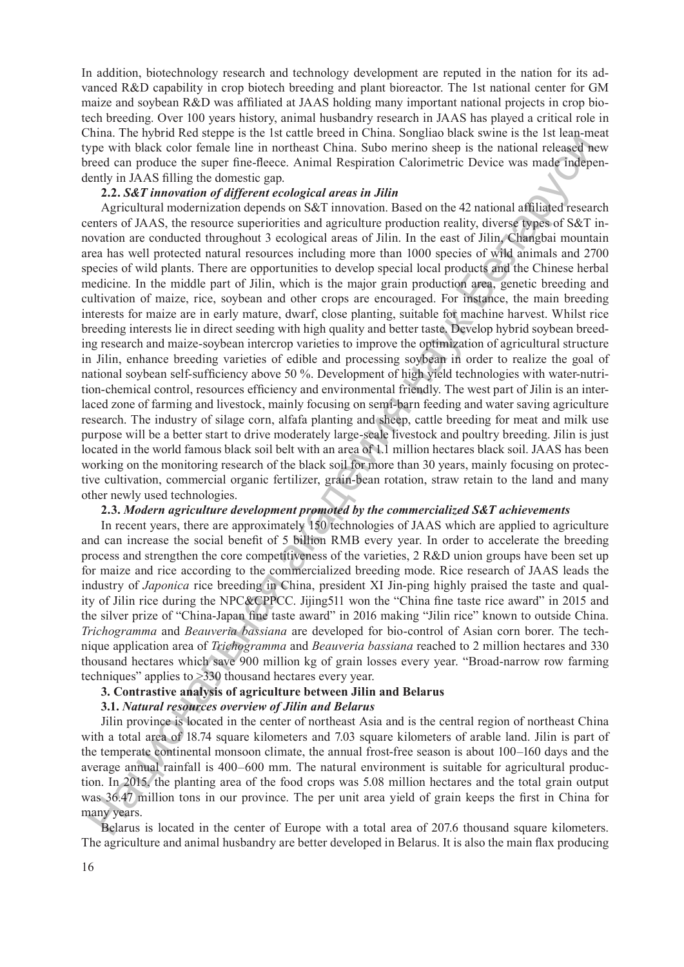In addition, biotechnology research and technology development are reputed in the nation for its advanced R&D capability in crop biotech breeding and plant bioreactor. The 1st national center for GM maize and soybean R&D was affiliated at JAAS holding many important national projects in crop biotech breeding. Over 100 years history, animal husbandry research in JAAS has played a critical role in China. The hybrid Red steppe is the 1st cattle breed in China. Songliao black swine is the 1st lean-meat type with black color female line in northeast China. Subo merino sheep is the national released new breed can produce the super fine-fleece. Animal Respiration Calorimetric Device was made independently in JAAS filling the domestic gap.

### **2.2.** *S&T innovation of different ecological areas in Jilin*

Agricultural modernization depends on S&T innovation. Based on the 42 national affiliated research centers of JAAS, the resource superiorities and agriculture production reality, diverse types of S&T innovation are conducted throughout 3 ecological areas of Jilin. In the east of Jilin, Changbai mountain area has well protected natural resources including more than 1000 species of wild animals and 2700 species of wild plants. There are opportunities to develop special local products and the Chinese herbal medicine. In the middle part of Jilin, which is the major grain production area, genetic breeding and cultivation of maize, rice, soybean and other crops are encouraged. For instance, the main breeding interests for maize are in early mature, dwarf, close planting, suitable for machine harvest. Whilst rice breeding interests lie in direct seeding with high quality and better taste. Develop hybrid soybean breeding research and maize-soybean intercrop varieties to improve the optimization of agricultural structure in Jilin, enhance breeding varieties of edible and processing soybean in order to realize the goal of national soybean self-sufficiency above 50 %. Development of high yield technologies with water-nutrition-chemical control, resources efficiency and environmental friendly. The west part of Jilin is an interlaced zone of farming and livestock, mainly focusing on semi-barn feeding and water saving agriculture research. The industry of silage corn, alfafa planting and sheep, cattle breeding for meat and milk use purpose will be a better start to drive moderately large-scale livestock and poultry breeding. Jilin is just located in the world famous black soil belt with an area of 1.1 million hectares black soil. JAAS has been working on the monitoring research of the black soil for more than 30 years, mainly focusing on protective cultivation, commercial organic fertilizer, grain-bean rotation, straw retain to the land and many other newly used technologies. with black color finally the in nontheas China. Subo netrino share is the mitiaal relationships and the mitiaal relationships and in the mitiaal relationships and in the mitiaal relationships and in the mitiaal relations

## **2.3.** *Modern agriculture development promoted by the commercialized S&T achievements*

In recent years, there are approximately 150 technologies of JAAS which are applied to agriculture and can increase the social benefit of 5 billion RMB every year. In order to accelerate the breeding process and strengthen the core competitiveness of the varieties, 2 R&D union groups have been set up for maize and rice according to the commercialized breeding mode. Rice research of JAAS leads the industry of *Japonica* rice breeding in China, president XI Jin-ping highly praised the taste and quality of Jilin rice during the NPC&CPPCC. Jijing511 won the "China fine taste rice award" in 2015 and the silver prize of "China-Japan fine taste award" in 2016 making "Jilin rice" known to outside China. *Trichogramma* and *Beauveria bassiana* are developed for bio-control of Asian corn borer. The technique application area of *Trichogramma* and *Beauveria bassiana* reached to 2 million hectares and 330 thousand hectares which save 900 million kg of grain losses every year. "Broad-narrow row farming techniques" applies to >330 thousand hectares every year.

## **3. Contrastive analysis of agriculture between Jilin and Belarus**

#### **3.1.** *Natural resources overview of Jilin and Belarus*

Jilin province is located in the center of northeast Asia and is the central region of northeast China with a total area of 18.74 square kilometers and 7.03 square kilometers of arable land. Jilin is part of the temperate continental monsoon climate, the annual frost-free season is about 100–160 days and the average annual rainfall is 400–600 mm. The natural environment is suitable for agricultural production. In 2015, the planting area of the food crops was 5.08 million hectares and the total grain output was 36.47 million tons in our province. The per unit area yield of grain keeps the first in China for many years. vas 30.4<br>nany yea<br>Belar

Belarus is located in the center of Europe with a total area of 207.6 thousand square kilometers. The agriculture and animal husbandry are better developed in Belarus. It is also the main flax producing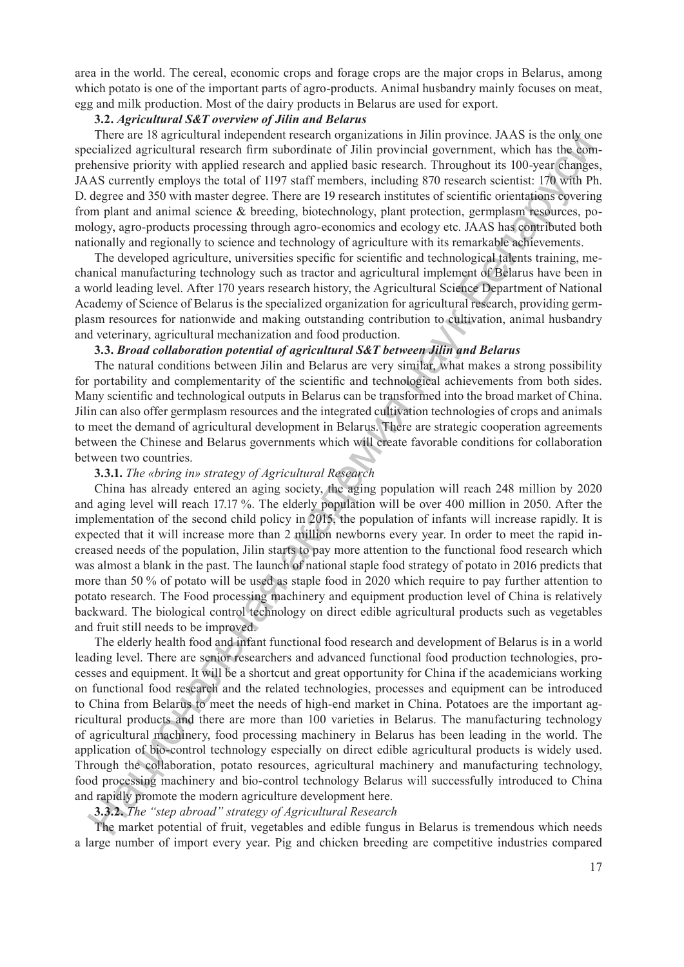area in the world. The cereal, economic crops and forage crops are the major crops in Belarus, among which potato is one of the important parts of agro-products. Animal husbandry mainly focuses on meat, egg and milk production. Most of the dairy products in Belarus are used for export.

## **3.2.** *Agricultural S&T overview of Jilin and Belarus*

There are 18 agricultural independent research organizations in Jilin province. JAAS is the only one specialized agricultural research firm subordinate of Jilin provincial government, which has the comprehensive priority with applied research and applied basic research. Throughout its 100-year changes, JAAS currently employs the total of 1197 staff members, including 870 research scientist: 170 with Ph. D. degree and 350 with master degree. There are 19 research institutes of scientific orientations covering from plant and animal science & breeding, biotechnology, plant protection, germplasm resources, pomology, agro-products processing through agro-economics and ecology etc. JAAS has contributed both nationally and regionally to science and technology of agriculture with its remarkable achievements.

The developed agriculture, universities specific for scientific and technological talents training, mechanical manufacturing technology such as tractor and agricultural implement of Belarus have been in a world leading level. After 170 years research history, the Agricultural Science Department of National Academy of Science of Belarus is the specialized organization for agricultural research, providing germplasm resources for nationwide and making outstanding contribution to cultivation, animal husbandry and veterinary, agricultural mechanization and food production.

#### **3.3.** *Broad collaboration potential of agricultural S&T between Jilin and Belarus*

The natural conditions between Jilin and Belarus are very similar, what makes a strong possibility for portability and complementarity of the scientific and technological achievements from both sides. Many scientific and technological outputs in Belarus can be transformed into the broad market of China. Jilin can also offer germplasm resources and the integrated cultivation technologies of crops and animals to meet the demand of agricultural development in Belarus. There are strategic cooperation agreements between the Chinese and Belarus governments which will create favorable conditions for collaboration between two countries.

### **3.3.1.** *The «bring in» strategy of Agricultural Research*

China has already entered an aging society, the aging population will reach 248 million by 2020 and aging level will reach 17.17 %. The elderly population will be over 400 million in 2050. After the implementation of the second child policy in 2015, the population of infants will increase rapidly. It is expected that it will increase more than 2 million newborns every year. In order to meet the rapid increased needs of the population, Jilin starts to pay more attention to the functional food research which was almost a blank in the past. The launch of national staple food strategy of potato in 2016 predicts that more than 50 % of potato will be used as staple food in 2020 which require to pay further attention to potato research. The Food processing machinery and equipment production level of China is relatively backward. The biological control technology on direct edible agricultural products such as vegetables and fruit still needs to be improved.

The elderly health food and infant functional food research and development of Belarus is in a world leading level. There are senior researchers and advanced functional food production technologies, processes and equipment. It will be a shortcut and great opportunity for China if the academicians working on functional food research and the related technologies, processes and equipment can be introduced to China from Belarus to meet the needs of high-end market in China. Potatoes are the important agricultural products and there are more than 100 varieties in Belarus. The manufacturing technology of agricultural machinery, food processing machinery in Belarus has been leading in the world. The application of bio-control technology especially on direct edible agricultural products is widely used. Through the collaboration, potato resources, agricultural machinery and manufacturing technology, food processing machinery and bio-control technology Belarus will successfully introduced to China and rapidly promote the modern agriculture development here. There are no applicated interaction and production in the product of the main production in the production of the main production in the production production production in the production production production and applicat

# **3.3.2.** *The "step abroad" strategy of Agricultural Research*

The market potential of fruit, vegetables and edible fungus in Belarus is tremendous which needs a large number of import every year. Pig and chicken breeding are competitive industries compared